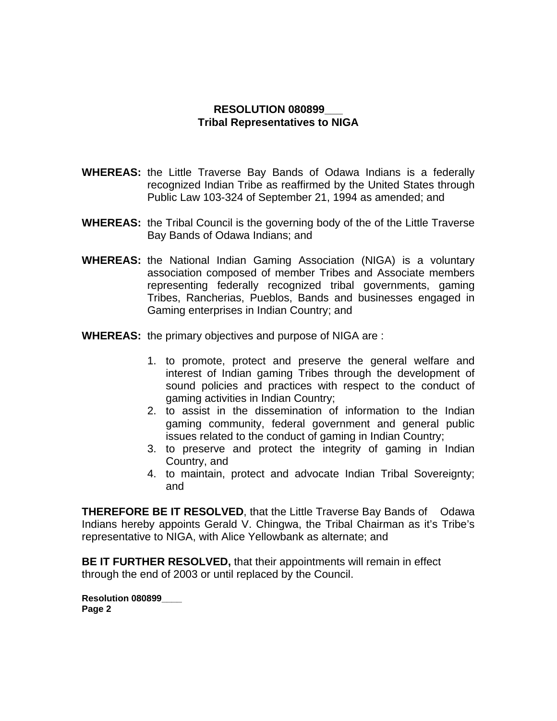## **RESOLUTION 080899\_\_\_ Tribal Representatives to NIGA**

- **WHEREAS:** the Little Traverse Bay Bands of Odawa Indians is a federally recognized Indian Tribe as reaffirmed by the United States through Public Law 103-324 of September 21, 1994 as amended; and
- **WHEREAS:** the Tribal Council is the governing body of the of the Little Traverse Bay Bands of Odawa Indians; and
- **WHEREAS:** the National Indian Gaming Association (NIGA) is a voluntary association composed of member Tribes and Associate members representing federally recognized tribal governments, gaming Tribes, Rancherias, Pueblos, Bands and businesses engaged in Gaming enterprises in Indian Country; and
- **WHEREAS:** the primary objectives and purpose of NIGA are :
	- 1. to promote, protect and preserve the general welfare and interest of Indian gaming Tribes through the development of sound policies and practices with respect to the conduct of gaming activities in Indian Country;
	- 2. to assist in the dissemination of information to the Indian gaming community, federal government and general public issues related to the conduct of gaming in Indian Country;
	- 3. to preserve and protect the integrity of gaming in Indian Country, and
	- 4. to maintain, protect and advocate Indian Tribal Sovereignty; and

**THEREFORE BE IT RESOLVED, that the Little Traverse Bay Bands of Odawa** Indians hereby appoints Gerald V. Chingwa, the Tribal Chairman as it's Tribe's representative to NIGA, with Alice Yellowbank as alternate; and

**BE IT FURTHER RESOLVED,** that their appointments will remain in effect through the end of 2003 or until replaced by the Council.

**Resolution 080899\_\_\_\_ Page 2**